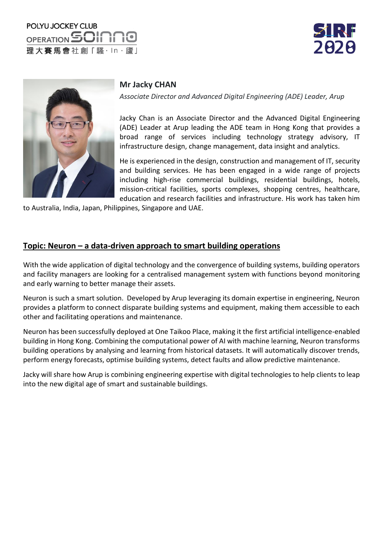





## **Mr Jacky CHAN**

*Associate Director and Advanced Digital Engineering (ADE) Leader, Arup*

Jacky Chan is an Associate Director and the Advanced Digital Engineering (ADE) Leader at Arup leading the ADE team in Hong Kong that provides a broad range of services including technology strategy advisory, IT infrastructure design, change management, data insight and analytics.

He is experienced in the design, construction and management of IT, security and building services. He has been engaged in a wide range of projects including high-rise commercial buildings, residential buildings, hotels, mission-critical facilities, sports complexes, shopping centres, healthcare, education and research facilities and infrastructure. His work has taken him

to Australia, India, Japan, Philippines, Singapore and UAE.

## **Topic: Neuron – a data-driven approach to smart building operations**

With the wide application of digital technology and the convergence of building systems, building operators and facility managers are looking for a centralised management system with functions beyond monitoring and early warning to better manage their assets.

Neuron is such a smart solution. Developed by Arup leveraging its domain expertise in engineering, Neuron provides a platform to connect disparate building systems and equipment, making them accessible to each other and facilitating operations and maintenance.

Neuron has been successfully deployed at One Taikoo Place, making it the first artificial intelligence-enabled building in Hong Kong. Combining the computational power of AI with machine learning, Neuron transforms building operations by analysing and learning from historical datasets. It will automatically discover trends, perform energy forecasts, optimise building systems, detect faults and allow predictive maintenance.

Jacky will share how Arup is combining engineering expertise with digital technologies to help clients to leap into the new digital age of smart and sustainable buildings.